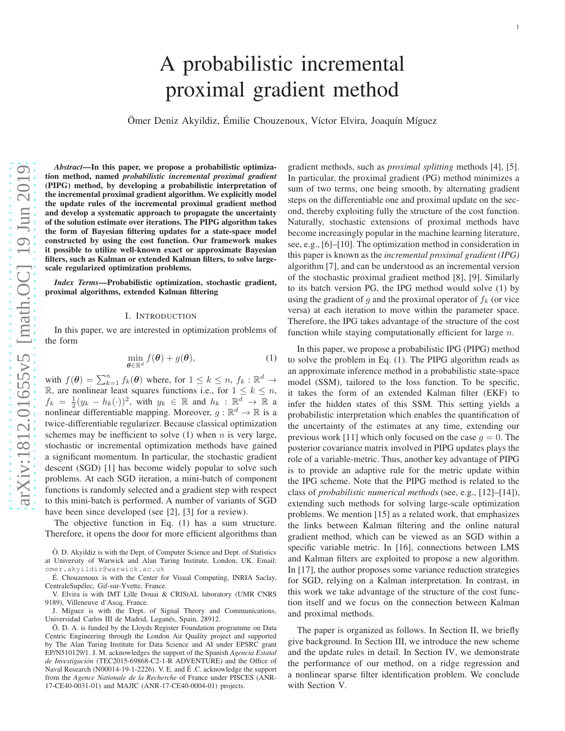# A probabilistic incremental proximal gradient method

Ömer Deniz Akyildiz, Émilie Chouzenoux, Víctor Elvira, Joaquín Míguez

*Abstract*—In this paper, we propose a probabilistic optimization method, named *probabilistic incremental proximal gradient* (PIPG) method, by developing a probabilistic interpretation of the incremental proximal gradient algorithm. We explicitly model the update rules of the incremental proximal gradient method and develop a systematic approach to propagate the uncertainty of the solution estimate over iterations. The PIPG algorithm takes the form of Bayesian filtering updates for a state-space model constructed by using the cost function. Our framework makes it possible to utilize well-known exact or approximate Bayesian filters, such as Kalman or extended Kalman filters, to solve largescale regularized optimization problems.

*Index Terms*—Probabilistic optimization, stochastic gradient, proximal algorithms, extended Kalman filtering

#### I. INTRODUCTION

In this paper, we are interested in optimization problems of the form

$$
\min_{\boldsymbol{\theta} \in \mathbb{R}^d} f(\boldsymbol{\theta}) + g(\boldsymbol{\theta}), \tag{1}
$$

with  $f(\theta) = \sum_{k=1}^{n} f_k(\theta)$  where, for  $1 \leq k \leq n$ ,  $f_k : \mathbb{R}^d \to$ R, are nonlinear least squares functions i.e., for  $1 \leq k \leq n$ ,  $f_k = \frac{1}{2}(y_k - h_k(\cdot))^2$ , with  $y_k \in \mathbb{R}$  and  $h_k : \mathbb{R}^d \to \mathbb{R}$  a nonlinear differentiable mapping. Moreover,  $g : \mathbb{R}^d \to \mathbb{R}$  is a twice-differentiable regularizer. Because classical optimization schemes may be inefficient to solve  $(1)$  when n is very large, stochastic or incremental optimization methods have gained a significant momentum. In particular, the stochastic gradient descent (SGD) [1] has become widely popular to solve such problems. At each SGD iteration, a mini-batch of component functions is randomly selected and a gradient step with respect to this mini-batch is performed. A number of variants of SGD have been since developed (see [2], [3] for a review).

The objective function in Eq. (1) has a sum structure. Therefore, it opens the door for more efficient algorithms than

Ö. D. Akyildiz is with the Dept. of Computer Science and Dept. of Statistics at University of Warwick and Alan Turing Institute, London, UK. Email: omer.akyildiz@warwick.ac.uk

É. Chouzenoux is with the Center for Visual Computing, INRIA Saclay, CentraleSupélec, Gif-sur-Yvette, France.

V. Elvira is with IMT Lille Douai & CRIStAL laboratory (UMR CNRS 9189), Villeneuve d'Ascq, France.

J. Míguez is with the Dept. of Signal Theory and Communications, Universidad Carlos III de Madrid, Leganés, Spain, 28912.

Ö. D. A. is funded by the Lloyds Register Foundation programme on Data Centric Engineering through the London Air Quality project and supported by The Alan Turing Institute for Data Science and AI under EPSRC grant EP/N510129/1. J. M. acknowledges the support of the Spanish *Agencia Estatal* de Investigación (TEC2015-69868-C2-1-R ADVENTURE) and the Office of Naval Research (N00014-19-1-2226). V. E. and É.C. acknowledge the support from the *Agence Nationale de la Recherche* of France under PISCES (ANR-17-CE40-0031-01) and MAJIC (ANR-17-CE40-0004-01) projects.

gradient methods, such as *proximal splitting* methods [4], [5]. In particular, the proximal gradient (PG) method minimizes a sum of two terms, one being smooth, by alternating gradient steps on the differentiable one and proximal update on the second, thereby exploiting fully the structure of the cost function. Naturally, stochastic extensions of proximal methods have become increasingly popular in the machine learning literature, see, e.g., [6]–[10]. The optimization method in consideration in this paper is known as the *incremental proximal gradient (IPG)* algorithm [7], and can be understood as an incremental version of the stochastic proximal gradient method [8], [9]. Similarly to its batch version PG, the IPG method would solve (1) by using the gradient of g and the proximal operator of  $f_k$  (or vice versa) at each iteration to move within the parameter space. Therefore, the IPG takes advantage of the structure of the cost function while staying computationally efficient for large  $n$ .

In this paper, we propose a probabilistic IPG (PIPG) method to solve the problem in Eq. (1). The PIPG algorithm reads as an approximate inference method in a probabilistic state-space model (SSM), tailored to the loss function. To be specific, it takes the form of an extended Kalman filter (EKF) to infer the hidden states of this SSM. This setting yields a probabilistic interpretation which enables the quantification of the uncertainty of the estimates at any time, extending our previous work [11] which only focused on the case  $q = 0$ . The posterior covariance matrix involved in PIPG updates plays the role of a variable-metric. Thus, another key advantage of PIPG is to provide an adaptive rule for the metric update within the IPG scheme. Note that the PIPG method is related to the class of *probabilistic numerical methods* (see, e.g., [12]–[14]), extending such methods for solving large-scale optimization problems. We mention [15] as a related work, that emphasizes the links between Kalman filtering and the online natural gradient method, which can be viewed as an SGD within a specific variable metric. In [16], connections between LMS and Kalman filters are exploited to propose a new algorithm. In [17], the author proposes some variance reduction strategies for SGD, relying on a Kalman interpretation. In contrast, in this work we take advantage of the structure of the cost function itself and we focus on the connection between Kalman and proximal methods.

The paper is organized as follows. In Section II, we briefly give background. In Section III, we introduce the new scheme and the update rules in detail. In Section IV, we demonstrate the performance of our method, on a ridge regression and a nonlinear sparse filter identification problem. We conclude with Section V.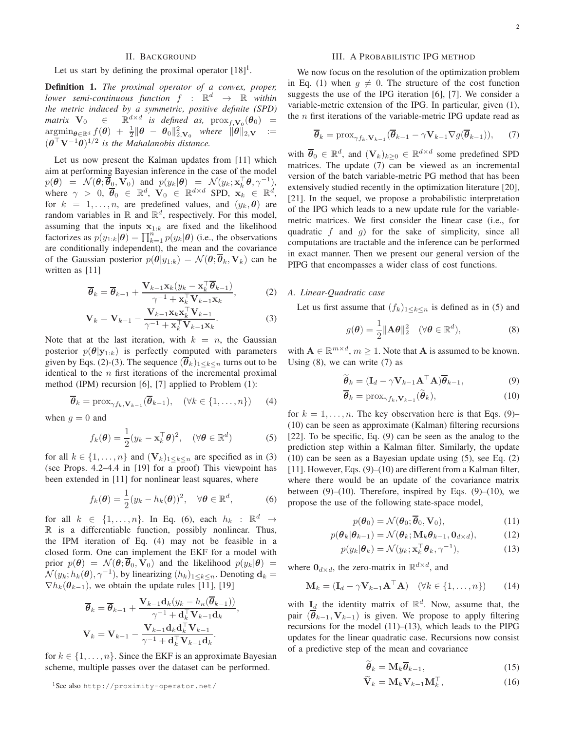# II. BACKGROUND

Let us start by defining the proximal operator  $[18]$ <sup>1</sup>.

Definition 1. *The proximal operator of a convex, proper, lower semi-continuous function*  $f : \mathbb{R}^d \to \mathbb{R}$  *within the metric induced by a symmetric, positive definite (SPD) matrix*  $V_0 \in \mathbb{R}^{d \times d}$  *is defined as,*  $prox_{f, V_0}(\theta_0) =$  $\mathop{\mathrm{argmin}}_{\boldsymbol{\theta}\in\mathbb{R}^d} \frac{f(\boldsymbol{\theta})~+~\frac{1}{2}\|\boldsymbol{\theta}~-~\boldsymbol{\theta}_0\|_{2,\mathbf{V}_0}^2~~where~~\|\boldsymbol{\theta}\|_{2,\mathbf{V}}~~:=$  $(\boldsymbol{\theta}^{\top} \mathbf{V}^{-1} \boldsymbol{\theta})^{1/2}$  is the Mahalanobis distance.

Let us now present the Kalman updates from [11] which aim at performing Bayesian inference in the case of the model  $p(\boldsymbol{\theta}) = \mathcal{N}(\boldsymbol{\theta}; \overline{\boldsymbol{\theta}}_0, \mathbf{V}_0)$  and  $p(y_k|\boldsymbol{\theta}) = \mathcal{N}(y_k; \mathbf{x}_k^{\top} \boldsymbol{\theta}, \gamma^{-1}),$ where  $\gamma > 0$ ,  $\overline{\theta}_0 \in \mathbb{R}^d$ ,  $\mathbf{V}_0 \in \mathbb{R}^{d \times d}$  SPD,  $\mathbf{x}_k \in \mathbb{R}^d$ , for  $k = 1, \ldots, n$ , are predefined values, and  $(y_k, \theta)$  are random variables in  $\mathbb R$  and  $\mathbb R^d$ , respectively. For this model, assuming that the inputs  $x_{1:k}$  are fixed and the likelihood factorizes as  $p(y_{1:k}|\boldsymbol{\theta}) = \prod_{k=1}^n p(y_k|\boldsymbol{\theta})$  (i.e., the observations are conditionally independent), the mean and the covariance of the Gaussian posterior  $p(\theta | y_{1:k}) = \mathcal{N}(\theta; \overline{\theta}_k, V_k)$  can be written as [11]

$$
\overline{\boldsymbol{\theta}}_k = \overline{\boldsymbol{\theta}}_{k-1} + \frac{\mathbf{V}_{k-1} \mathbf{x}_k (y_k - \mathbf{x}_k^\top \overline{\boldsymbol{\theta}}_{k-1})}{\gamma^{-1} + \mathbf{x}_k^\top \mathbf{V}_{k-1} \mathbf{x}_k},\tag{2}
$$

$$
\mathbf{V}_k = \mathbf{V}_{k-1} - \frac{\mathbf{V}_{k-1} \mathbf{x}_k \mathbf{x}_k^\top \mathbf{V}_{k-1}}{\gamma^{-1} + \mathbf{x}_k^\top \mathbf{V}_{k-1} \mathbf{x}_k}.
$$
 (3)

Note that at the last iteration, with  $k = n$ , the Gaussian posterior  $p(\theta|\mathbf{y}_{1:k})$  is perfectly computed with parameters given by Eqs. (2)-(3). The sequence  $(\overline{\theta}_k)_{1\leq k\leq n}$  turns out to be identical to the  $n$  first iterations of the incremental proximal method (IPM) recursion [6], [7] applied to Problem (1):

$$
\overline{\boldsymbol{\theta}}_k = \text{prox}_{\gamma f_k, \mathbf{V}_{k-1}}(\overline{\boldsymbol{\theta}}_{k-1}), \quad (\forall k \in \{1, \dots, n\}) \tag{4}
$$

when  $g = 0$  and

$$
f_k(\boldsymbol{\theta}) = \frac{1}{2} (y_k - \mathbf{x}_k^{\top} \boldsymbol{\theta})^2, \quad (\forall \boldsymbol{\theta} \in \mathbb{R}^d)
$$
 (5)

for all  $k \in \{1, ..., n\}$  and  $(\mathbf{V}_k)_{1 \leq k \leq n}$  are specified as in (3) (see Props. 4.2–4.4 in [19] for a proof) This viewpoint has been extended in [11] for nonlinear least squares, where

$$
f_k(\boldsymbol{\theta}) = \frac{1}{2}(y_k - h_k(\boldsymbol{\theta}))^2, \quad \forall \boldsymbol{\theta} \in \mathbb{R}^d,
$$
 (6)

for all  $k \in \{1, ..., n\}$ . In Eq. (6), each  $h_k : \mathbb{R}^d \to$  $\mathbb R$  is a differentiable function, possibly nonlinear. Thus, the IPM iteration of Eq. (4) may not be feasible in a closed form. One can implement the EKF for a model with prior  $p(\theta) = \mathcal{N}(\theta; \overline{\theta}_0, \mathbf{V}_0)$  and the likelihood  $p(y_k|\theta) =$  $\mathcal{N}(y_k; h_k(\boldsymbol{\theta}), \gamma^{-1})$ , by linearizing  $(h_k)_{1 \leq k \leq n}$ . Denoting  $\mathbf{d}_k =$  $\nabla h_k(\theta_{k-1})$ , we obtain the update rules [11], [19]

$$
\overline{\theta}_k = \overline{\theta}_{k-1} + \frac{\mathbf{V}_{k-1} \mathbf{d}_k (y_k - h_{\kappa}(\overline{\theta}_{k-1}))}{\gamma^{-1} + \mathbf{d}_k^{\top} \mathbf{V}_{k-1} \mathbf{d}_k},
$$
  

$$
\mathbf{V}_k = \mathbf{V}_{k-1} - \frac{\mathbf{V}_{k-1} \mathbf{d}_k \mathbf{d}_k^{\top} \mathbf{V}_{k-1}}{\gamma^{-1} + \mathbf{d}_k^{\top} \mathbf{V}_{k-1} \mathbf{d}_k}.
$$

for  $k \in \{1, \ldots, n\}$ . Since the EKF is an approximate Bayesian scheme, multiple passes over the dataset can be performed.

## III. A PROBABILISTIC IPG METHOD

We now focus on the resolution of the optimization problem in Eq. (1) when  $q \neq 0$ . The structure of the cost function suggests the use of the IPG iteration [6], [7]. We consider a variable-metric extension of the IPG. In particular, given (1), the  $n$  first iterations of the variable-metric IPG update read as

$$
\overline{\boldsymbol{\theta}}_k = \text{prox}_{\gamma f_k, \mathbf{V}_{k-1}} (\overline{\boldsymbol{\theta}}_{k-1} - \gamma \mathbf{V}_{k-1} \nabla g(\overline{\boldsymbol{\theta}}_{k-1})), \qquad (7)
$$

with  $\overline{\theta}_0 \in \mathbb{R}^d$ , and  $(\mathbf{V}_k)_{k \geq 0} \in \mathbb{R}^{d \times d}$  some predefined SPD matrices. The update (7) can be viewed as an incremental version of the batch variable-metric PG method that has been extensively studied recently in the optimization literature [20], [21]. In the sequel, we propose a probabilistic interpretation of the IPG which leads to a new update rule for the variablemetric matrices. We first consider the linear case (i.e., for quadratic f and  $q$ ) for the sake of simplicity, since all computations are tractable and the inference can be performed in exact manner. Then we present our general version of the PIPG that encompasses a wider class of cost functions.

#### *A. Linear-Quadratic case*

Let us first assume that  $(f_k)_{1 \leq k \leq n}$  is defined as in (5) and

$$
g(\boldsymbol{\theta}) = \frac{1}{2} ||\mathbf{A}\boldsymbol{\theta}||_2^2 \quad (\forall \boldsymbol{\theta} \in \mathbb{R}^d), \tag{8}
$$

with  $\mathbf{A} \in \mathbb{R}^{m \times d}$ ,  $m \ge 1$ . Note that **A** is assumed to be known. Using  $(8)$ , we can write  $(7)$  as

$$
\widetilde{\boldsymbol{\theta}}_k = (\mathbf{I}_d - \gamma \mathbf{V}_{k-1} \mathbf{A}^\top \mathbf{A}) \overline{\boldsymbol{\theta}}_{k-1},
$$
\n(9)

$$
\overline{\boldsymbol{\theta}}_k = \text{prox}_{\gamma f_k, \mathbf{V}_{k-1}}(\widetilde{\boldsymbol{\theta}}_k),\tag{10}
$$

for  $k = 1, \ldots, n$ . The key observation here is that Eqs. (9)– (10) can be seen as approximate (Kalman) filtering recursions [22]. To be specific, Eq. (9) can be seen as the analog to the prediction step within a Kalman filter. Similarly, the update (10) can be seen as a Bayesian update using (5), see Eq. (2) [11]. However, Eqs. (9)–(10) are different from a Kalman filter, where there would be an update of the covariance matrix between  $(9)$ – $(10)$ . Therefore, inspired by Eqs.  $(9)$ – $(10)$ , we propose the use of the following state-space model,

$$
p(\boldsymbol{\theta}_0) = \mathcal{N}(\boldsymbol{\theta}_0; \overline{\boldsymbol{\theta}}_0, \mathbf{V}_0),
$$
 (11)

$$
p(\theta_k|\theta_{k-1}) = \mathcal{N}(\theta_k; \mathbf{M}_k \theta_{k-1}, \mathbf{0}_{d \times d}), \tag{12}
$$

$$
p(y_k|\boldsymbol{\theta}_k) = \mathcal{N}(y_k; \mathbf{x}_k^{\top} \boldsymbol{\theta}_k, \gamma^{-1}),
$$
\n(13)

where  $0_{d \times d}$ , the zero-matrix in  $\mathbb{R}^{d \times d}$ , and

$$
\mathbf{M}_{k} = (\mathbf{I}_{d} - \gamma \mathbf{V}_{k-1} \mathbf{A}^{\top} \mathbf{A}) \quad (\forall k \in \{1, ..., n\}) \tag{14}
$$

with  $I_d$  the identity matrix of  $\mathbb{R}^d$ . Now, assume that, the pair  $(\overline{\theta}_{k-1}, V_{k-1})$  is given. We propose to apply filtering recursions for the model  $(11)–(13)$ , which leads to the PIPG updates for the linear quadratic case. Recursions now consist of a predictive step of the mean and covariance

$$
\widetilde{\boldsymbol{\theta}}_k = \mathbf{M}_k \overline{\boldsymbol{\theta}}_{k-1},\tag{15}
$$

$$
\widetilde{\mathbf{V}}_k = \mathbf{M}_k \mathbf{V}_{k-1} \mathbf{M}_k^{\top},\tag{16}
$$

<sup>1</sup>See also http://proximity-operator.net/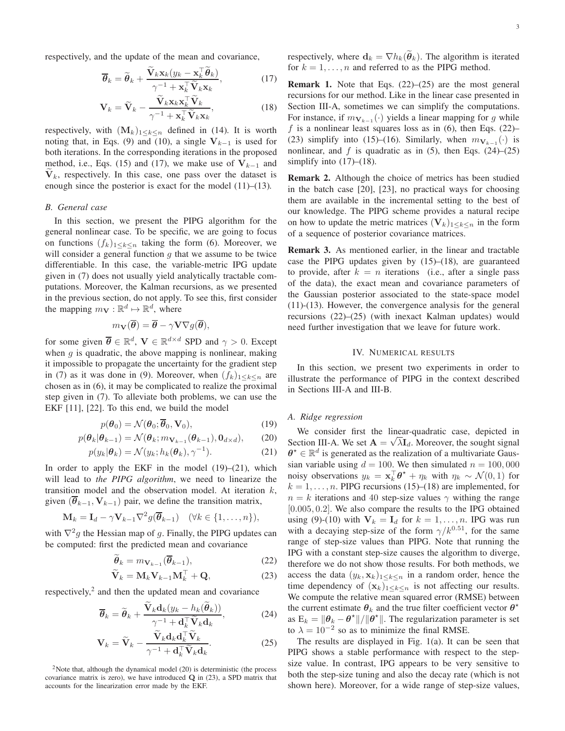respectively, and the update of the mean and covariance,

$$
\overline{\boldsymbol{\theta}}_k = \widetilde{\boldsymbol{\theta}}_k + \frac{\widetilde{\mathbf{V}}_k \mathbf{x}_k (y_k - \mathbf{x}_k^\top \widetilde{\boldsymbol{\theta}}_k)}{\gamma^{-1} + \mathbf{x}_k^\top \widetilde{\mathbf{V}}_k \mathbf{x}_k},\tag{17}
$$

$$
\mathbf{V}_k = \widetilde{\mathbf{V}}_k - \frac{\widetilde{\mathbf{V}}_k \mathbf{x}_k \mathbf{x}_k^\top \widetilde{\mathbf{V}}_k}{\gamma^{-1} + \mathbf{x}_k^\top \widetilde{\mathbf{V}}_k \mathbf{x}_k},\tag{18}
$$

respectively, with  $(M_k)_{1 \leq k \leq n}$  defined in (14). It is worth noting that, in Eqs. (9) and (10), a single  $V_{k-1}$  is used for both iterations. In the corresponding iterations in the proposed method, i.e., Eqs. (15) and (17), we make use of  $V_{k-1}$  and  $V_k$ , respectively. In this case, one pass over the dataset is enough since the posterior is exact for the model (11)–(13).

## *B. General case*

In this section, we present the PIPG algorithm for the general nonlinear case. To be specific, we are going to focus on functions  $(f_k)_{1\leq k\leq n}$  taking the form (6). Moreover, we will consider a general function  $g$  that we assume to be twice differentiable. In this case, the variable-metric IPG update given in (7) does not usually yield analytically tractable computations. Moreover, the Kalman recursions, as we presented in the previous section, do not apply. To see this, first consider the mapping  $m_{\mathbf{V}} : \mathbb{R}^d \mapsto \mathbb{R}^d$ , where

$$
m_{\mathbf{V}}(\overline{\boldsymbol{\theta}}) = \overline{\boldsymbol{\theta}} - \gamma \mathbf{V} \nabla g(\overline{\boldsymbol{\theta}}),
$$

for some given  $\overline{\theta} \in \mathbb{R}^d$ ,  $\mathbf{V} \in \mathbb{R}^{d \times d}$  SPD and  $\gamma > 0$ . Except when  $q$  is quadratic, the above mapping is nonlinear, making it impossible to propagate the uncertainty for the gradient step in (7) as it was done in (9). Moreover, when  $(f_k)_{1 \leq k \leq n}$  are chosen as in (6), it may be complicated to realize the proximal step given in (7). To alleviate both problems, we can use the EKF [11], [22]. To this end, we build the model

$$
p(\boldsymbol{\theta}_0) = \mathcal{N}(\boldsymbol{\theta}_0; \overline{\boldsymbol{\theta}}_0, \mathbf{V}_0),
$$
 (19)

$$
p(\boldsymbol{\theta}_k|\boldsymbol{\theta}_{k-1}) = \mathcal{N}(\boldsymbol{\theta}_k; m_{\mathbf{V}_{k-1}}(\boldsymbol{\theta}_{k-1}), \mathbf{0}_{d \times d}),
$$
 (20)

$$
p(y_k|\boldsymbol{\theta}_k) = \mathcal{N}(y_k; h_k(\boldsymbol{\theta}_k), \gamma^{-1}).
$$
\n(21)

In order to apply the EKF in the model  $(19)$ – $(21)$ , which will lead to *the PIPG algorithm*, we need to linearize the transition model and the observation model. At iteration  $k$ , given  $(\overline{\theta}_{k-1}, \mathbf{V}_{k-1})$  pair, we define the transition matrix,

$$
\mathbf{M}_k = \mathbf{I}_d - \gamma \mathbf{V}_{k-1} \nabla^2 g(\overline{\boldsymbol{\theta}}_{k-1}) \quad (\forall k \in \{1, \dots, n\}),
$$

with  $\nabla^2 g$  the Hessian map of g. Finally, the PIPG updates can be computed: first the predicted mean and covariance

$$
\widetilde{\boldsymbol{\theta}}_k = m_{\mathbf{V}_{k-1}}(\overline{\boldsymbol{\theta}}_{k-1}),\tag{22}
$$

$$
\widetilde{\mathbf{V}}_k = \mathbf{M}_k \mathbf{V}_{k-1} \mathbf{M}_k^\top + \mathbf{Q},\tag{23}
$$

respectively,<sup>2</sup> and then the updated mean and covariance

$$
\overline{\boldsymbol{\theta}}_k = \widetilde{\boldsymbol{\theta}}_k + \frac{\widetilde{\mathbf{V}}_k \mathbf{d}_k (y_k - h_k(\widetilde{\boldsymbol{\theta}}_k))}{\gamma^{-1} + \mathbf{d}_k^\top \widetilde{\mathbf{V}}_k \mathbf{d}_k},
$$
(24)

$$
\mathbf{V}_k = \widetilde{\mathbf{V}}_k - \frac{\widetilde{\mathbf{V}}_k \mathbf{d}_k \mathbf{d}_k^\top \widetilde{\mathbf{V}}_k}{\gamma^{-1} + \mathbf{d}_k^\top \widetilde{\mathbf{V}}_k \mathbf{d}_k}.
$$
 (25)

<sup>2</sup>Note that, although the dynamical model (20) is deterministic (the process covariance matrix is zero), we have introduced Q in (23), a SPD matrix that accounts for the linearization error made by the EKF.

respectively, where  $\mathbf{d}_k = \nabla h_k(\tilde{\boldsymbol{\theta}}_k)$ . The algorithm is iterated for  $k = 1, \ldots, n$  and referred to as the PIPG method.

**Remark 1.** Note that Eqs.  $(22)$ – $(25)$  are the most general recursions for our method. Like in the linear case presented in Section III-A, sometimes we can simplify the computations. For instance, if  $m_{\mathbf{V}_{k-1}}(\cdot)$  yields a linear mapping for g while f is a nonlinear least squares loss as in  $(6)$ , then Eqs.  $(22)$ – (23) simplify into (15)–(16). Similarly, when  $m_{\mathbf{V}_{k-1}}(\cdot)$  is nonlinear, and f is quadratic as in  $(5)$ , then Eqs.  $(24)$ – $(25)$ simplify into  $(17)$ – $(18)$ .

Remark 2. Although the choice of metrics has been studied in the batch case [20], [23], no practical ways for choosing them are available in the incremental setting to the best of our knowledge. The PIPG scheme provides a natural recipe on how to update the metric matrices  $(V_k)_{1\leq k\leq n}$  in the form of a sequence of posterior covariance matrices.

Remark 3. As mentioned earlier, in the linear and tractable case the PIPG updates given by  $(15)$ – $(18)$ , are guaranteed to provide, after  $k = n$  iterations (i.e., after a single pass of the data), the exact mean and covariance parameters of the Gaussian posterior associated to the state-space model (11)-(13). However, the convergence analysis for the general recursions (22)–(25) (with inexact Kalman updates) would need further investigation that we leave for future work.

#### IV. NUMERICAL RESULTS

In this section, we present two experiments in order to illustrate the performance of PIPG in the context described in Sections III-A and III-B.

# *A. Ridge regression*

We consider first the linear-quadratic case, depicted in Section III-A. We set  $\mathbf{A} = \sqrt{\lambda} \mathbf{I}_d$ . Moreover, the sought signal  $\boldsymbol{\theta}^{\star} \in \mathbb{R}^{d}$  is generated as the realization of a multivariate Gaussian variable using  $d = 100$ . We then simulated  $n = 100,000$ noisy observations  $y_k = \mathbf{x}_k^{\top} \boldsymbol{\theta}^* + \eta_k$  with  $\eta_k \sim \mathcal{N}(0, 1)$  for  $k = 1, \ldots, n$ . PIPG recursions (15)–(18) are implemented, for  $n = k$  iterations and 40 step-size values  $\gamma$  withing the range [0.005, 0.2]. We also compare the results to the IPG obtained using (9)-(10) with  $V_k = I_d$  for  $k = 1, ..., n$ . IPG was run with a decaying step-size of the form  $\gamma/k^{0.51}$ , for the same range of step-size values than PIPG. Note that running the IPG with a constant step-size causes the algorithm to diverge, therefore we do not show those results. For both methods, we access the data  $(y_k, \mathbf{x}_k)_{1 \leq k \leq n}$  in a random order, hence the time dependency of  $(\mathbf{x}_k)_{1 \leq k \leq n}$  is not affecting our results. We compute the relative mean squared error (RMSE) between the current estimate  $\theta_k$  and the true filter coefficient vector  $\theta^{\star}$ as  $E_k = ||\theta_k - \theta^*||/||\theta^*||$ . The regularization parameter is set to  $\lambda = 10^{-2}$  so as to minimize the final RMSE.

The results are displayed in Fig. 1(a). It can be seen that PIPG shows a stable performance with respect to the stepsize value. In contrast, IPG appears to be very sensitive to both the step-size tuning and also the decay rate (which is not shown here). Moreover, for a wide range of step-size values,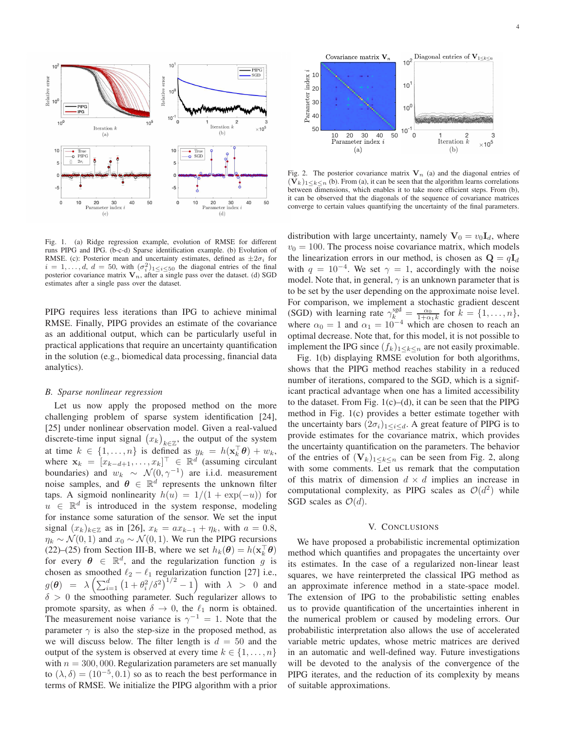

Fig. 1. (a) Ridge regression example, evolution of RMSE for different runs PIPG and IPG. (b-c-d) Sparse identification example. (b) Evolution of RMSE. (c): Posterior mean and uncertainty estimates, defined as  $\pm 2\sigma_i$  for  $i = 1, \ldots, d, d = 50$ , with  $(\sigma_i^2)_{1 \leq i \leq 50}$  the diagonal entries of the final posterior covariance matrix  $V_n$ , after a single pass over the dataset. (d) SGD estimates after a single pass over the dataset.

PIPG requires less iterations than IPG to achieve minimal RMSE. Finally, PIPG provides an estimate of the covariance as an additional output, which can be particularly useful in practical applications that require an uncertainty quantification in the solution (e.g., biomedical data processing, financial data analytics).

#### *B. Sparse nonlinear regression*

Let us now apply the proposed method on the more challenging problem of sparse system identification [24], [25] under nonlinear observation model. Given a real-valued discrete-time input signal  $(x_k)_{k\in\mathbb{Z}}$ , the output of the system at time  $k \in \{1, ..., n\}$  is defined as  $y_k = h(\mathbf{x}_k^{\top} \boldsymbol{\theta}) + w_k$ , where  $\mathbf{x}_k = [x_{k-d+1}, \dots, x_k]^\top \in \mathbb{R}^d$  (assuming circulant boundaries) and  $w_k \sim \mathcal{N}(0, \gamma^{-1})$  are i.i.d. measurement noise samples, and  $\boldsymbol{\theta} \in \mathbb{R}^d$  represents the unknown filter taps. A sigmoid nonlinearity  $h(u) = 1/(1 + \exp(-u))$  for  $u \in \mathbb{R}^d$  is introduced in the system response, modeling for instance some saturation of the sensor. We set the input signal  $(x_k)_{k \in \mathbb{Z}}$  as in [26],  $x_k = ax_{k-1} + \eta_k$ , with  $a = 0.8$ ,  $\eta_k \sim \mathcal{N}(0, 1)$  and  $x_0 \sim \mathcal{N}(0, 1)$ . We run the PIPG recursions (22)–(25) from Section III-B, where we set  $h_k(\theta) = h(\mathbf{x}_k^{\top}\theta)$ for every  $\boldsymbol{\theta} \in \mathbb{R}^d$ , and the regularization function  $\hat{g}$  is chosen as smoothed  $\ell_2 - \ell_1$  regularization function [27] i.e.,  $g(\theta) = \lambda \left( \sum_{i=1}^d \left( 1 + \theta_i^2 / \delta^2 \right)^{1/2} - 1 \right)$  with  $\lambda > 0$  and  $\delta > 0$  the smoothing parameter. Such regularizer allows to promote sparsity, as when  $\delta \to 0$ , the  $\ell_1$  norm is obtained. The measurement noise variance is  $\gamma^{-1} = 1$ . Note that the parameter  $\gamma$  is also the step-size in the proposed method, as we will discuss below. The filter length is  $d = 50$  and the output of the system is observed at every time  $k \in \{1, \ldots, n\}$ with  $n = 300,000$ . Regularization parameters are set manually to  $(\lambda, \delta) = (10^{-5}, 0.1)$  so as to reach the best performance in terms of RMSE. We initialize the PIPG algorithm with a prior



Fig. 2. The posterior covariance matrix  $V_n$  (a) and the diagonal entries of  $(V_k)_{1\leq k\leq n}$  (b). From (a), it can be seen that the algorithm learns correlations between dimensions, which enables it to take more efficient steps. From (b), it can be observed that the diagonals of the sequence of covariance matrices converge to certain values quantifying the uncertainty of the final parameters.

distribution with large uncertainty, namely  $V_0 = v_0 I_d$ , where  $v_0 = 100$ . The process noise covariance matrix, which models the linearization errors in our method, is chosen as  $\mathbf{Q} = q\mathbf{I}_d$ with  $q = 10^{-4}$ . We set  $\gamma = 1$ , accordingly with the noise model. Note that, in general,  $\gamma$  is an unknown parameter that is to be set by the user depending on the approximate noise level. For comparison, we implement a stochastic gradient descent (SGD) with learning rate  $\gamma_k^{\text{sgd}} = \frac{\alpha_0}{1 + \alpha_1 k}$  for  $k = \{1, \dots, n\}$ , where  $\alpha_0 = 1$  and  $\alpha_1 = 10^{-4}$  which are chosen to reach an optimal decrease. Note that, for this model, it is not possible to implement the IPG since  $(f_k)_{1\leq k\leq n}$  are not easily proximable.

Fig. 1(b) displaying RMSE evolution for both algorithms, shows that the PIPG method reaches stability in a reduced number of iterations, compared to the SGD, which is a significant practical advantage when one has a limited accessibility to the dataset. From Fig.  $1(c)$ –(d), it can be seen that the PIPG method in Fig. 1(c) provides a better estimate together with the uncertainty bars  $(2\sigma_i)_{1\leq i\leq d}$ . A great feature of PIPG is to provide estimates for the covariance matrix, which provides the uncertainty quantification on the parameters. The behavior of the entries of  $(V_k)_{1\leq k\leq n}$  can be seen from Fig. 2, along with some comments. Let us remark that the computation of this matrix of dimension  $d \times d$  implies an increase in computational complexity, as PIPG scales as  $\mathcal{O}(d^2)$  while SGD scales as  $\mathcal{O}(d)$ .

## V. CONCLUSIONS

We have proposed a probabilistic incremental optimization method which quantifies and propagates the uncertainty over its estimates. In the case of a regularized non-linear least squares, we have reinterpreted the classical IPG method as an approximate inference method in a state-space model. The extension of IPG to the probabilistic setting enables us to provide quantification of the uncertainties inherent in the numerical problem or caused by modeling errors. Our probabilistic interpretation also allows the use of accelerated variable metric updates, whose metric matrices are derived in an automatic and well-defined way. Future investigations will be devoted to the analysis of the convergence of the PIPG iterates, and the reduction of its complexity by means of suitable approximations.